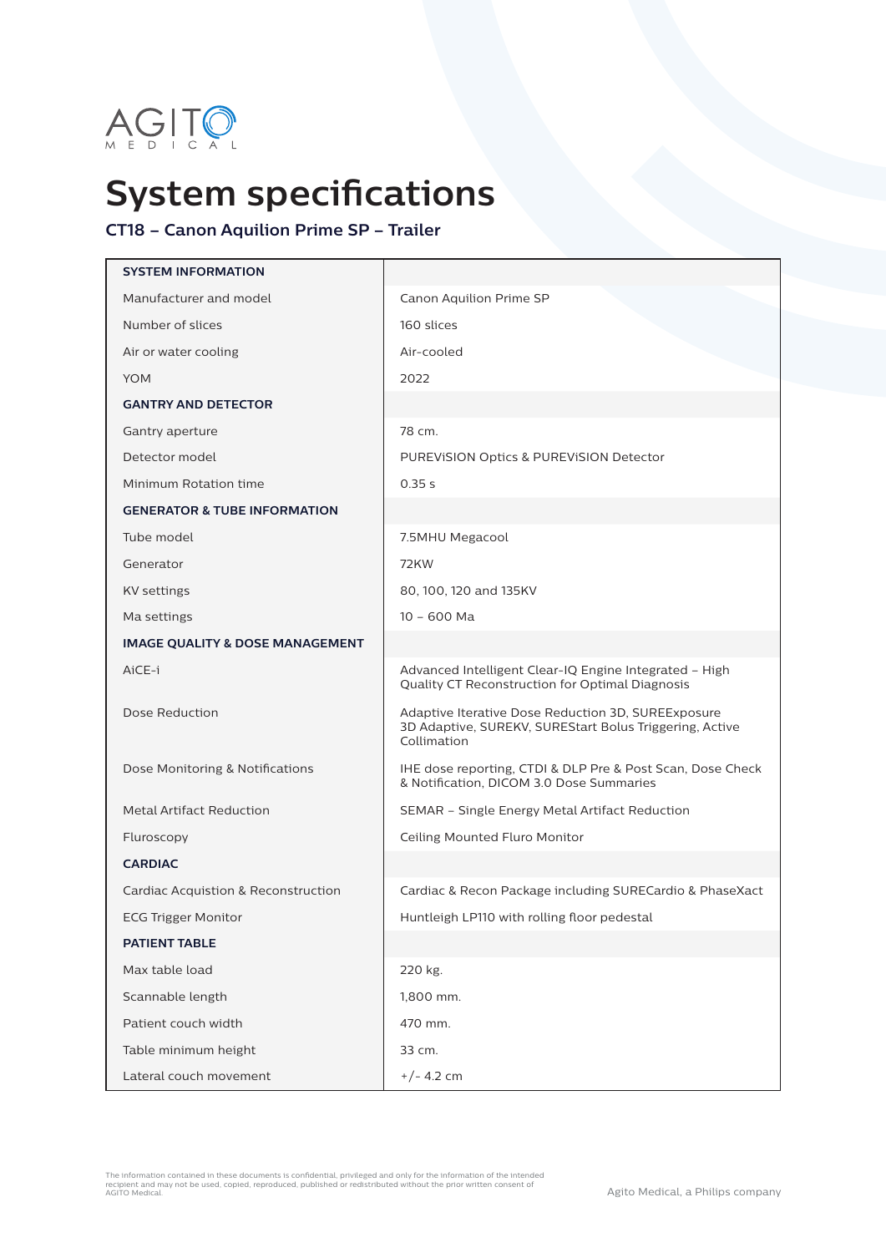

## **System specifications**

## **CT18 – Canon Aquilion Prime SP – Trailer**

| <b>SYSTEM INFORMATION</b>                  |                                                                                                                              |  |
|--------------------------------------------|------------------------------------------------------------------------------------------------------------------------------|--|
| Manufacturer and model                     | Canon Aquilion Prime SP                                                                                                      |  |
| Number of slices                           | 160 slices                                                                                                                   |  |
| Air or water cooling                       | Air-cooled                                                                                                                   |  |
| <b>YOM</b>                                 | 2022                                                                                                                         |  |
| <b>GANTRY AND DETECTOR</b>                 |                                                                                                                              |  |
| Gantry aperture                            | 78 cm.                                                                                                                       |  |
| Detector model                             | PUREVISION Optics & PUREVISION Detector                                                                                      |  |
| Minimum Rotation time                      | 0.35 s                                                                                                                       |  |
| <b>GENERATOR &amp; TUBE INFORMATION</b>    |                                                                                                                              |  |
| Tube model                                 | 7.5MHU Megacool                                                                                                              |  |
| Generator                                  | <b>72KW</b>                                                                                                                  |  |
| <b>KV</b> settings                         | 80, 100, 120 and 135KV                                                                                                       |  |
| Ma settings                                | $10 - 600$ Ma                                                                                                                |  |
| <b>IMAGE QUALITY &amp; DOSE MANAGEMENT</b> |                                                                                                                              |  |
| AiCE-i                                     | Advanced Intelligent Clear-IQ Engine Integrated - High<br>Quality CT Reconstruction for Optimal Diagnosis                    |  |
| Dose Reduction                             | Adaptive Iterative Dose Reduction 3D, SUREExposure<br>3D Adaptive, SUREKV, SUREStart Bolus Triggering, Active<br>Collimation |  |
| Dose Monitoring & Notifications            | IHE dose reporting, CTDI & DLP Pre & Post Scan, Dose Check<br>& Notification, DICOM 3.0 Dose Summaries                       |  |
| <b>Metal Artifact Reduction</b>            | SEMAR - Single Energy Metal Artifact Reduction                                                                               |  |
| Fluroscopy                                 | Ceiling Mounted Fluro Monitor                                                                                                |  |
| <b>CARDIAC</b>                             |                                                                                                                              |  |
| Cardiac Acquistion & Reconstruction        | Cardiac & Recon Package including SURECardio & PhaseXact                                                                     |  |
| <b>ECG Trigger Monitor</b>                 | Huntleigh LP110 with rolling floor pedestal                                                                                  |  |
| <b>PATIENT TABLE</b>                       |                                                                                                                              |  |
| Max table load                             | 220 kg.                                                                                                                      |  |
| Scannable length                           | 1,800 mm.                                                                                                                    |  |
| Patient couch width                        | 470 mm.                                                                                                                      |  |
| Table minimum height                       | 33 cm.                                                                                                                       |  |
| Lateral couch movement                     | $+/- 4.2$ cm                                                                                                                 |  |

The information contained in these documents is confidential, privileged and only for the information of the intended<br>recipient and may not be used, copied, reproduced, published or redistributed without the prior written